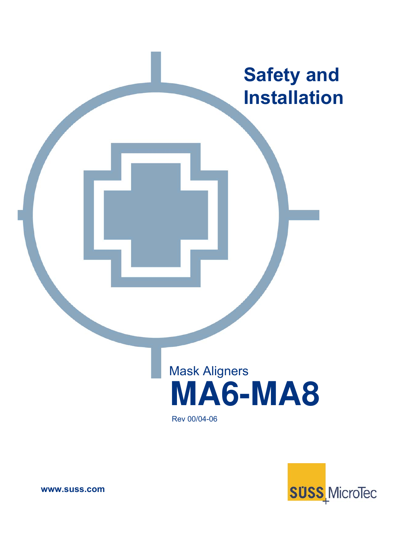



**www.suss.com**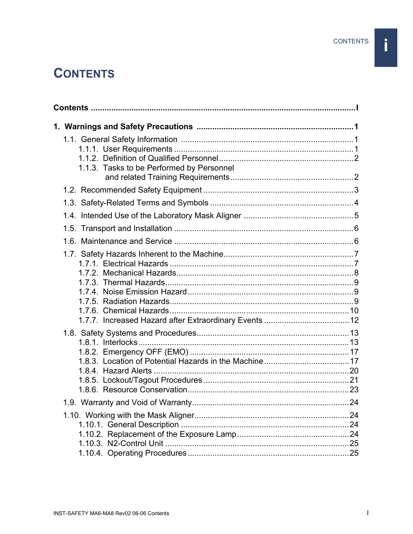İ

# **CONTENTS**

|  | 1.1.3. Tasks to be Performed by Personnel |  |  |
|--|-------------------------------------------|--|--|
|  |                                           |  |  |
|  |                                           |  |  |
|  |                                           |  |  |
|  |                                           |  |  |
|  |                                           |  |  |
|  |                                           |  |  |
|  |                                           |  |  |
|  |                                           |  |  |
|  |                                           |  |  |
|  |                                           |  |  |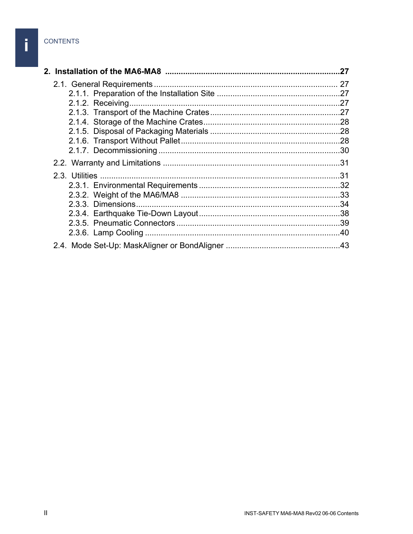### **CONTENTS**

i

| .27 |
|-----|
|     |
|     |
|     |
|     |
|     |
|     |
|     |
|     |
|     |
|     |
|     |
|     |
|     |
|     |
|     |
|     |
|     |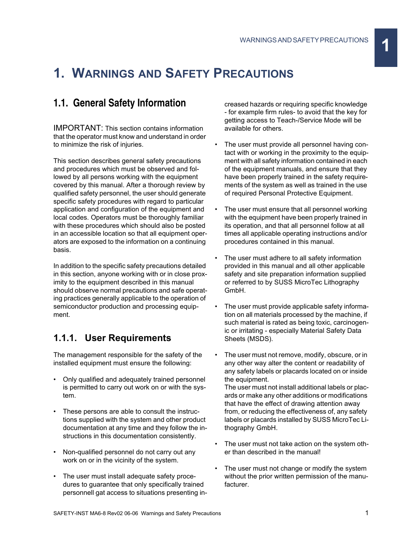## **1. WARNINGS AND SAFETY PRECAUTIONS**

## **1.1. General Safety Information**

IMPORTANT: This section contains information that the operator must know and understand in order to minimize the risk of injuries.

This section describes general safety precautions and procedures which must be observed and followed by all persons working with the equipment covered by this manual. After a thorough review by qualified safety personnel, the user should generate specific safety procedures with regard to particular application and configuration of the equipment and local codes. Operators must be thoroughly familiar with these procedures which should also be posted in an accessible location so that all equipment operators are exposed to the information on a continuing basis.

In addition to the specific safety precautions detailed in this section, anyone working with or in close proximity to the equipment described in this manual should observe normal precautions and safe operating practices generally applicable to the operation of semiconductor production and processing equipment.

## **1.1.1. User Requirements**

The management responsible for the safety of the installed equipment must ensure the following:

- Only qualified and adequately trained personnel is permitted to carry out work on or with the system.
- These persons are able to consult the instructions supplied with the system and other product documentation at any time and they follow the instructions in this documentation consistently.
- Non-qualified personnel do not carry out any work on or in the vicinity of the system.
- The user must install adequate safety procedures to guarantee that only specifically trained personnell gat access to situations presenting in-

creased hazards or requiring specific knowledge - for example firm rules- to avoid that the key for getting access to Teach-/Service Mode will be available for others.

- The user must provide all personnel having contact with or working in the proximity to the equipment with all safety information contained in each of the equipment manuals, and ensure that they have been properly trained in the safety requirements of the system as well as trained in the use of required Personal Protective Equipment.
- The user must ensure that all personnel working with the equipment have been properly trained in its operation, and that all personnel follow at all times all applicable operating instructions and/or procedures contained in this manual.
- The user must adhere to all safety information provided in this manual and all other applicable safety and site preparation information supplied or referred to by SUSS MicroTec Lithography GmbH.
- The user must provide applicable safety information on all materials processed by the machine, if such material is rated as being toxic, carcinogenic or irritating - especially Material Safety Data Sheets (MSDS).
- The user must not remove, modify, obscure, or in any other way alter the content or readability of any safety labels or placards located on or inside the equipment.

The user must not install additional labels or placards or make any other additions or modifications that have the effect of drawing attention away from, or reducing the effectiveness of, any safety labels or placards installed by SUSS MicroTec Lithography GmbH.

- The user must not take action on the system other than described in the manual!
- The user must not change or modify the system without the prior written permission of the manufacturer.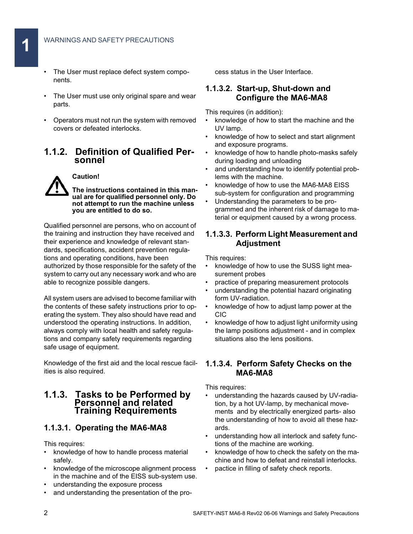- The User must replace defect system components.
- The User must use only original spare and wear parts.
- Operators must not run the system with removed covers or defeated interlocks.

#### **1.1.2. Definition of Qualified Personnel**



**Caution!**

**The instructions contained in this manual are for qualified personnel only. Do not attempt to run the machine unless you are entitled to do so.**

Qualified personnel are persons, who on account of the training and instruction they have received and their experience and knowledge of relevant standards, specifications, accident prevention regulations and operating conditions, have been authorized by those responsible for the safety of the system to carry out any necessary work and who are able to recognize possible dangers.

All system users are advised to become familiar with the contents of these safety instructions prior to operating the system. They also should have read and understood the operating instructions. In addition, always comply with local health and safety regulations and company safety requirements regarding safe usage of equipment.

Knowledge of the first aid and the local rescue facilities is also required.

## **1.1.3. Tasks to be Performed by Personnel and related Training Requirements**

### **1.1.3.1. Operating the MA6-MA8**

This requires:

- knowledge of how to handle process material safely.
- knowledge of the microscope alignment process in the machine and of the EISS sub-system use.
- understanding the exposure process
- and understanding the presentation of the pro-

cess status in the User Interface.

#### **1.1.3.2. Start-up, Shut-down and Configure the MA6-MA8**

This requires (in addition):

- knowledge of how to start the machine and the UV lamp.
- knowledge of how to select and start alignment and exposure programs.
- knowledge of how to handle photo-masks safely during loading and unloading
- and understanding how to identify potential problems with the machine.
- knowledge of how to use the MA6-MA8 EISS sub-system for configuration and programming
- Understanding the parameters to be programmed and the inherent risk of damage to material or equipment caused by a wrong process.

#### **1.1.3.3. Perform Light Measurement and Adjustment**

This requires:

- knowledge of how to use the SUSS light measurement probes
- practice of preparing measurement protocols
- understanding the potential hazard originating form UV-radiation.
- knowledge of how to adjust lamp power at the CIC
- knowledge of how to adjust light uniformity using the lamp positions adjustment - and in complex situations also the lens positions.

#### **1.1.3.4. Perform Safety Checks on the MA6-MA8**

This requires:

- understanding the hazards caused by UV-radiation, by a hot UV-lamp, by mechanical movements and by electrically energized parts- also the understanding of how to avoid all these hazards.
- understanding how all interlock and safety functions of the machine are working.
- knowledge of how to check the safety on the machine and how to defeat and reinstall interlocks.
- pactice in filling of safety check reports.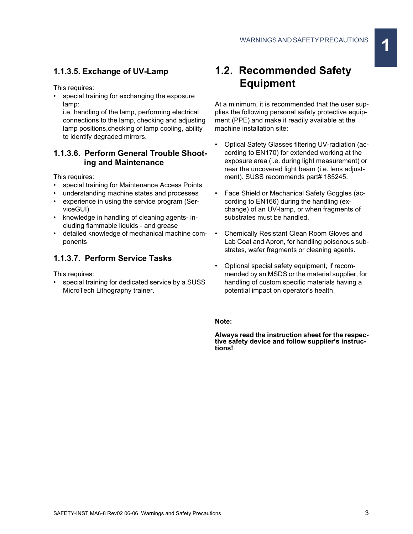## **1.1.3.5. Exchange of UV-Lamp**

This requires:

• special training for exchanging the exposure lamp:

i.e. handling of the lamp, performing electrical connections to the lamp, checking and adjusting lamp positions,checking of lamp cooling, ability to identify degraded mirrors.

#### **1.1.3.6. Perform General Trouble Shooting and Maintenance**

This requires:

- special training for Maintenance Access Points
- understanding machine states and processes
- experience in using the service program (ServiceGUI)
- knowledge in handling of cleaning agents- including flammable liquids - and grease
- detailed knowledge of mechanical machine components

### **1.1.3.7. Perform Service Tasks**

This requires:

special training for dedicated service by a SUSS MicroTech Lithography trainer.

## **1.2. Recommended Safety Equipment**

At a minimum, it is recommended that the user supplies the following personal safety protective equipment (PPE) and make it readily available at the machine installation site:

- Optical Safety Glasses filtering UV-radiation (according to EN170) for extended working at the exposure area (i.e. during light measurement) or near the uncovered light beam (i.e. lens adjustment). SUSS recommends part# 185245.
- Face Shield or Mechanical Safety Goggles (according to EN166) during the handling (exchange) of an UV-lamp, or when fragments of substrates must be handled.
- Chemically Resistant Clean Room Gloves and Lab Coat and Apron, for handling poisonous substrates, wafer fragments or cleaning agents.
- Optional special safety equipment, if recommended by an MSDS or the material supplier, for handling of custom specific materials having a potential impact on operator's health.

#### **Note:**

**Always read the instruction sheet for the respective safety device and follow supplier's instructions!**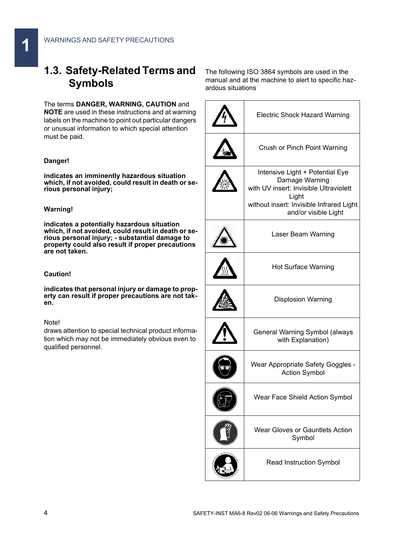## **1.3. Safety-Related Terms and Symbols**

The terms **DANGER, WARNING, CAUTION** and **NOTE** are used in these instructions and at warning labels on the machine to point out particular dangers or unusual information to which special attention must be paid.

#### **Danger!**

**indicates an imminently hazardous situation which, if not avoided, could result in death or serious personal injury;** 

#### **Warning!**

**indicates a potentially hazardous situation which, if not avoided, could result in death or serious personal injury; - substantial damage to property could also result if proper precautions are not taken.**

#### **Caution!**

**indicates that personal injury or damage to property can result if proper precautions are not taken.**

#### Note!

draws attention to special technical product information which may not be immediately obvious even to qualified personnel.

The following ISO 3864 symbols are used in the manual and at the machine to alert to specific hazardous situations

| <b>Electric Shock Hazard Warning</b>                                                                                                                                     |
|--------------------------------------------------------------------------------------------------------------------------------------------------------------------------|
| Crush or Pinch Point Warning                                                                                                                                             |
| Intensive Light + Potential Eye<br>Damage Warning<br>with UV insert: Invisible Ultraviolett<br>Light<br>without insert: Invisible Infrared Light<br>and/or visible Light |
| Laser Beam Warning                                                                                                                                                       |
| <b>Hot Surface Warning</b>                                                                                                                                               |
| <b>Displosion Warning</b>                                                                                                                                                |
| General Warning Symbol (always<br>with Explanation)                                                                                                                      |
| <b>Wear Appropriate Safety Goggles -</b><br><b>Action Symbol</b>                                                                                                         |
| Wear Face Shield Action Symbol                                                                                                                                           |
| <b>Wear Gloves or Gauntlets Action</b><br>Symbol                                                                                                                         |
| <b>Read Instruction Symbol</b>                                                                                                                                           |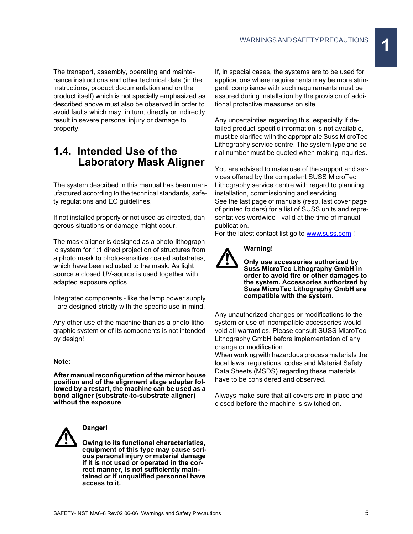The transport, assembly, operating and maintenance instructions and other technical data (in the instructions, product documentation and on the product itself) which is not specially emphasized as described above must also be observed in order to avoid faults which may, in turn, directly or indirectly result in severe personal injury or damage to property.

## **1.4. Intended Use of the Laboratory Mask Aligner**

The system described in this manual has been manufactured according to the technical standards, safety regulations and EC guidelines.

If not installed properly or not used as directed, dangerous situations or damage might occur.

The mask aligner is designed as a photo-lithographic system for 1:1 direct projection of structures from a photo mask to photo-sensitive coated substrates, which have been adjusted to the mask. As light source a closed UV-source is used together with adapted exposure optics.

Integrated components - like the lamp power supply - are designed strictly with the specific use in mind.

Any other use of the machine than as a photo-lithographic system or of its components is not intended by design!

#### **Note:**

**After manual reconfiguration of the mirror house position and of the alignment stage adapter followed by a restart, the machine can be used as a bond aligner (substrate-to-substrate aligner) without the exposure**



#### **Danger!**

**Owing to its functional characteristics, equipment of this type may cause serious personal injury or material damage if it is not used or operated in the correct manner, is not sufficiently maintained or if unqualified personnel have access to it.**

If, in special cases, the systems are to be used for applications where requirements may be more stringent, compliance with such requirements must be assured during installation by the provision of additional protective measures on site.

Any uncertainties regarding this, especially if detailed product-specific information is not available, must be clarified with the appropriate Suss MicroTec Lithography service centre. The system type and serial number must be quoted when making inquiries.

You are advised to make use of the support and services offered by the competent SUSS MicroTec Lithography service centre with regard to planning, installation, commissioning and servicing. See the last page of manuals (resp. last cover page of printed folders) for a list of SUSS units and representatives wordwide - valid at the time of manual publication.

For the latest contact list go to www.suss.com !

### **Warning!**



**Only use accessories authorized by Suss MicroTec Lithography GmbH in order to avoid fire or other damages to the system. Accessories authorized by Suss MicroTec Lithography GmbH are compatible with the system.** 

Any unauthorized changes or modifications to the system or use of incompatible accessories would void all warranties. Please consult SUSS MicroTec Lithography GmbH before implementation of any change or modification.

When working with hazardous process materials the local laws, regulations, codes and Material Safety Data Sheets (MSDS) regarding these materials have to be considered and observed.

Always make sure that all covers are in place and closed **before** the machine is switched on.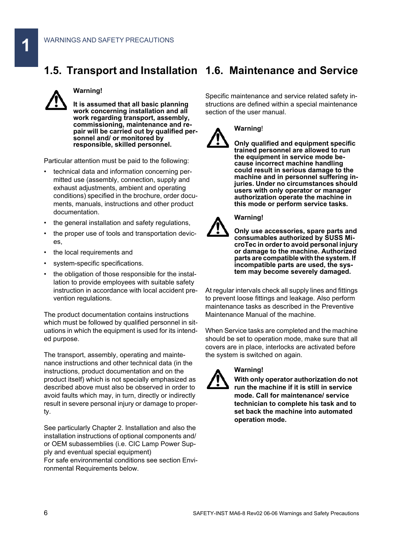## **1.5. Transport and Installation 1.6. Maintenance and Service**



### **Warning!**

**It is assumed that all basic planning work concerning installation and all work regarding transport, assembly, commissioning, maintenance and repair will be carried out by qualified personnel and/ or monitored by responsible, skilled personnel.**

Particular attention must be paid to the following:

- technical data and information concerning permitted use (assembly, connection, supply and exhaust adjustments, ambient and operating conditions) specified in the brochure, order documents, manuals, instructions and other product documentation.
- the general installation and safety regulations,
- the proper use of tools and transportation devices,
- the local requirements and
- system-specific specifications.
- the obligation of those responsible for the installation to provide employees with suitable safety instruction in accordance with local accident prevention regulations.

The product documentation contains instructions which must be followed by qualified personnel in situations in which the equipment is used for its intended purpose.

The transport, assembly, operating and maintenance instructions and other technical data (in the instructions, product documentation and on the product itself) which is not specially emphasized as described above must also be observed in order to avoid faults which may, in turn, directly or indirectly result in severe personal injury or damage to property.

See particularly Chapter 2. Installation and also the installation instructions of optional components and/ or OEM subassemblies (i.e. CIC Lamp Power Supply and eventual special equipment)

For safe environmental conditions see section Environmental Requirements below.

Specific maintenance and service related safety instructions are defined within a special maintenance section of the user manual.



#### **Warning**!

**Only qualified and equipment specific trained personnel are allowed to run the equipment in service mode because incorrect machine handling could result in serious damage to the machine and in personnel suffering injuries. Under no circumstances should users with only operator or manager authorization operate the machine in this mode or perform service tasks.**



#### **Warning!**

**Only use accessories, spare parts and consumables authorized by SUSS MicroTec in order to avoid personal injury or damage to the machine. Authorized parts are compatible with the system. If incompatible parts are used, the system may become severely damaged.**

At regular intervals check all supply lines and fittings to prevent loose fittings and leakage. Also perform maintenance tasks as described in the Preventive Maintenance Manual of the machine.

When Service tasks are completed and the machine should be set to operation mode, make sure that all covers are in place, interlocks are activated before the system is switched on again.



#### **Warning!**

**With only operator authorization do not run the machine if it is still in service mode. Call for maintenance/ service technician to complete his task and to set back the machine into automated operation mode.**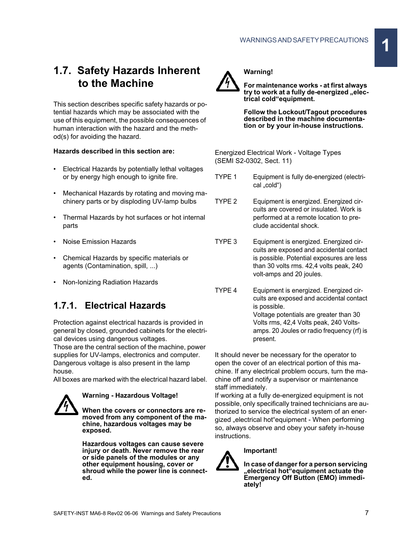## **1.7. Safety Hazards Inherent to the Machine**

This section describes specific safety hazards or potential hazards which may be associated with the use of this equipment, the possible consequences of human interaction with the hazard and the method(s) for avoiding the hazard.

### **Hazards described in this section are:**

- Electrical Hazards by potentially lethal voltages or by energy high enough to ignite fire.
- Mechanical Hazards by rotating and moving machinery parts or by disploding UV-lamp bulbs
- Thermal Hazards by hot surfaces or hot internal parts
- Noise Emission Hazards
- Chemical Hazards by specific materials or agents (Contamination, spill, ...)
- Non-Ionizing Radiation Hazards

## **1.7.1. Electrical Hazards**

Protection against electrical hazards is provided in general by closed, grounded cabinets for the electrical devices using dangerous voltages.

Those are the central section of the machine, power supplies for UV-lamps, electronics and computer. Dangerous voltage is also present in the lamp house.

All boxes are marked with the electrical hazard label.



#### **Warning - Hazardous Voltage!**

**When the covers or connectors are removed from any component of the machine, hazardous voltages may be exposed.**

**Hazardous voltages can cause severe injury or death. Never remove the rear or side panels of the modules or any other equipment housing, cover or shroud while the power line is connected.**



### **Warning!**

**For maintenance works - at first always**  try to work at a fully de-energized "elec**trical cold"equipment.**

**Follow the Lockout/Tagout procedures described in the machine documentation or by your in-house instructions.**

Energized Electrical Work - Voltage Types (SEMI S2-0302, Sect. 11)

- TYPE 1 Equipment is fully de-energized (electrical "cold")
- TYPE 2 Equipment is energized. Energized circuits are covered or insulated. Work is performed at a remote location to preclude accidental shock.
- TYPE 3 Equipment is energized. Energized circuits are exposed and accidental contact is possible. Potential exposures are less than 30 volts rms. 42,4 volts peak, 240 volt-amps and 20 joules.
- TYPE 4 Equipment is energized. Energized circuits are exposed and accidental contact is possible. Voltage potentials are greater than 30 Volts rms, 42,4 Volts peak, 240 Voltsamps. 20 Joules or radio frequency (rf) is present.

It should never be necessary for the operator to open the cover of an electrical portion of this machine. If any electrical problem occurs, turn the machine off and notify a supervisor or maintenance staff immediately.

If working at a fully de-energized equipment is not possible, only specifically trained technicians are authorized to service the electrical system of an energized "electrical hot"equipment - When performing so, always observe and obey your safety in-house instructions.

#### **Important!**

**In case of danger for a person servicing "electrical hot"equipment actuate the Emergency Off Button (EMO) immediately!**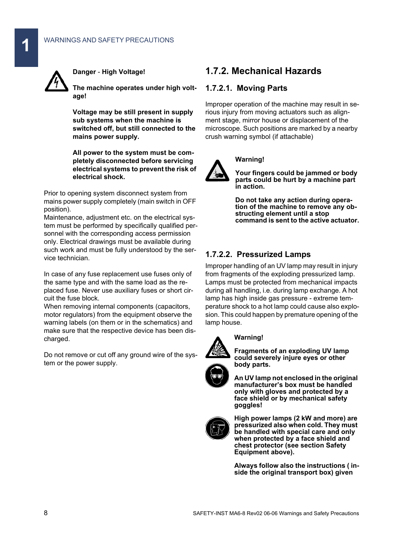

**Danger** - **High Voltage!**

**The machine operates under high voltage!**

**Voltage may be still present in supply sub systems when the machine is switched off, but still connected to the mains power supply.**

**All power to the system must be completely disconnected before servicing electrical systems to prevent the risk of electrical shock.**

Prior to opening system disconnect system from mains power supply completely (main switch in OFF position).

Maintenance, adjustment etc. on the electrical system must be performed by specifically qualified personnel with the corresponding access permission only. Electrical drawings must be available during such work and must be fully understood by the service technician.

In case of any fuse replacement use fuses only of the same type and with the same load as the replaced fuse. Never use auxiliary fuses or short circuit the fuse block.

When removing internal components (capacitors, motor regulators) from the equipment observe the warning labels (on them or in the schematics) and make sure that the respective device has been discharged.

Do not remove or cut off any ground wire of the system or the power supply.

## **1.7.2. Mechanical Hazards**

#### **1.7.2.1. Moving Parts**

Improper operation of the machine may result in serious injury from moving actuators such as alignment stage, mirror house or displacement of the microscope. Such positions are marked by a nearby crush warning symbol (if attachable)



## **Warning!**

**Your fingers could be jammed or body parts could be hurt by a machine part in action.**

**Do not take any action during operation of the machine to remove any obstructing element until a stop command is sent to the active actuator.**

## **1.7.2.2. Pressurized Lamps**

Improper handling of an UV lamp may result in injury from fragments of the exploding pressurized lamp. Lamps must be protected from mechanical impacts during all handling, i.e. during lamp exchange. A hot lamp has high inside gas pressure - extreme temperature shock to a hot lamp could cause also explosion. This could happen by premature opening of the lamp house.

### **Warning!**

**Fragments of an exploding UV lamp could severely injure eyes or other body parts.**

**An UV lamp not enclosed in the original manufacturer's box must be handled only with gloves and protected by a face shield or by mechanical safety goggles!**



**High power lamps (2 kW and more) are pressurized also when cold. They must be handled with special care and only when protected by a face shield and chest protector (see section Safety Equipment above).**

**Always follow also the instructions ( inside the original transport box) given**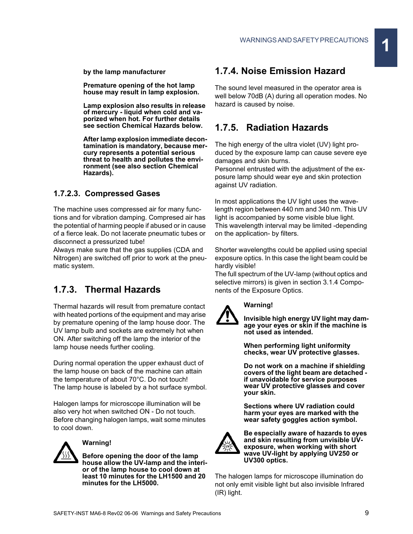**by the lamp manufacturer**

**Premature opening of the hot lamp house may result in lamp explosion.**

**Lamp explosion also results in release of mercury - liquid when cold and vaporized when hot. For further details see section Chemical Hazards below.**

**After lamp explosion immediate decontamination is mandatory, because mercury represents a potential serious threat to health and pollutes the environment (see also section Chemical Hazards).**

## **1.7.2.3. Compressed Gases**

The machine uses compressed air for many functions and for vibration damping. Compresed air has the potential of harming people if abused or in cause of a fierce leak. Do not lacerate pneumatic tubes or disconnect a pressurized tube!

Always make sure that the gas supplies (CDA and Nitrogen) are switched off prior to work at the pneumatic system.

## **1.7.3. Thermal Hazards**

Thermal hazards will result from premature contact with heated portions of the equipment and may arise by premature opening of the lamp house door. The UV lamp bulb and sockets are extremely hot when ON. After switching off the lamp the interior of the lamp house needs further cooling.

During normal operation the upper exhaust duct of the lamp house on back of the machine can attain the temperature of about 70°C. Do not touch! The lamp house is labeled by a hot surface symbol.

Halogen lamps for microscope illumination will be also very hot when switched ON - Do not touch. Before changing halogen lamps, wait some minutes to cool down.



#### **Warning!**

**Before opening the door of the lamp house allow the UV-lamp and the interior of the lamp house to cool down at least 10 minutes for the LH1500 and 20 minutes for the LH5000.**

## **1.7.4. Noise Emission Hazard**

The sound level measured in the operator area is well below 70dB (A) during all operation modes. No hazard is caused by noise.

## **1.7.5. Radiation Hazards**

The high energy of the ultra violet (UV) light produced by the exposure lamp can cause severe eye damages and skin burns.

Personnel entrusted with the adjustment of the exposure lamp should wear eye and skin protection against UV radiation.

In most applications the UV light uses the wavelength region between 440 nm and 340 nm. This UV light is accompanied by some visible blue light. This wavelength interval may be limited -depending on the application- by filters.

Shorter wavelengths could be applied using special exposure optics. In this case the light beam could be hardly visible!

The full spectrum of the UV-lamp (without optics and selective mirrors) is given in section 3.1.4 Components of the Exposure Optics.



#### **Warning!**

**Invisible high energy UV light may damage your eyes or skin if the machine is not used as intended.**

**When performing light uniformity checks, wear UV protective glasses.**

**Do not work on a machine if shielding covers of the light beam are detached if unavoidable for service purposes wear UV protective glasses and cover your skin.**

**Sections where UV radiation could harm your eyes are marked with the wear safety goggles action symbol.**



**Be especially aware of hazards to eyes and skin resulting from unvisible UVexposure, when working with short wave UV-light by applying UV250 or UV300 optics.**

The halogen lamps for microscope illumination do not only emit visible light but also invisible Infrared (IR) light.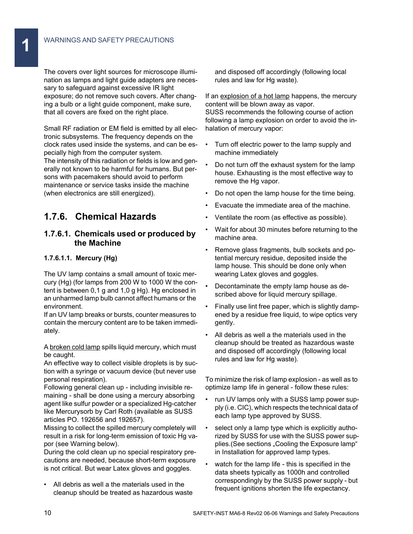The covers over light sources for microscope illumination as lamps and light guide adapters are necessary to safeguard against excessive IR light exposure; do not remove such covers. After changing a bulb or a light guide component, make sure, that all covers are fixed on the right place.

Small RF radiation or EM field is emitted by all electronic subsystems. The frequency depends on the clock rates used inside the systems, and can be especially high from the computer system. The intensity of this radiation or fields is low and generally not known to be harmful for humans. But persons with pacemakers should avoid to perform maintenance or service tasks inside the machine (when electronics are still energized).

## **1.7.6. Chemical Hazards**

#### **1.7.6.1. Chemicals used or produced by the Machine**

#### **1.7.6.1.1. Mercury (Hg)**

The UV lamp contains a small amount of toxic mercury (Hg) (for lamps from 200 W to 1000 W the content is between 0,1 g and 1,0 g Hg). Hg enclosed in an unharmed lamp bulb cannot affect humans or the environment.

If an UV lamp breaks or bursts, counter measures to contain the mercury content are to be taken immediately.

A broken cold lamp spills liquid mercury, which must be caught.

An effective way to collect visible droplets is by suction with a syringe or vacuum device (but never use personal respiration).

Following general clean up - including invisible remaining - shall be done using a mercury absorbing agent like sulfur powder or a specialized Hg-catcher like Mercurysorb by Carl Roth (available as SUSS articles PO. 192656 and 192657).

Missing to collect the spilled mercury completely will result in a risk for long-term emission of toxic Hg vapor (see Warning below).

During the cold clean up no special respiratory precautions are needed, because short-term exposure is not critical. But wear Latex gloves and goggles.

• All debris as well a the materials used in the cleanup should be treated as hazardous waste and disposed off accordingly (following local rules and law for Hg waste).

If an explosion of a hot lamp happens, the mercury content will be blown away as vapor. SUSS recommends the following course of action following a lamp explosion on order to avoid the inhalation of mercury vapor:

- Turn off electric power to the lamp supply and machine immediately
- Do not turn off the exhaust system for the lamp house. Exhausting is the most effective way to remove the Hg vapor.
- Do not open the lamp house for the time being.
- Evacuate the immediate area of the machine.
- Ventilate the room (as effective as possible).
- Wait for about 30 minutes before returning to the machine area.
- Remove glass fragments, bulb sockets and potential mercury residue, deposited inside the lamp house. This should be done only when wearing Latex gloves and goggles.
- Decontaminate the empty lamp house as described above for liquid mercury spillage.
- Finally use lint free paper, which is slightly dampened by a residue free liquid, to wipe optics very gently.
- All debris as well a the materials used in the cleanup should be treated as hazardous waste and disposed off accordingly (following local rules and law for Hg waste).

To minimize the risk of lamp explosion - as well as to optimize lamp life in general - follow these rules:

- run UV lamps only with a SUSS lamp power supply (i.e. CIC), which respects the technical data of each lamp type approved by SUSS.
- select only a lamp type which is explicitly authorized by SUSS for use with the SUSS power supplies. (See sections "Cooling the Exposure lamp" in Installation for approved lamp types.
- watch for the lamp life this is specified in the data sheets typically as 1000h and controlled correspondingly by the SUSS power supply - but frequent ignitions shorten the life expectancy.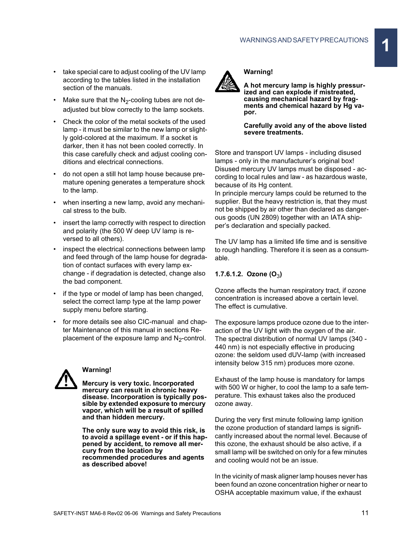- take special care to adjust cooling of the UV lamp according to the tables listed in the installation section of the manuals.
- Make sure that the  $N<sub>2</sub>$ -cooling tubes are not deadjusted but blow correctly to the lamp sockets.
- Check the color of the metal sockets of the used lamp - it must be similar to the new lamp or slightly gold-colored at the maximum. If a socket is darker, then it has not been cooled correctly. In this case carefully check and adjust cooling conditions and electrical connections.
- do not open a still hot lamp house because premature opening generates a temperature shock to the lamp.
- when inserting a new lamp, avoid any mechanical stress to the bulb.
- insert the lamp correctly with respect to direction and polarity (the 500 W deep UV lamp is reversed to all others).
- inspect the electrical connections between lamp and feed through of the lamp house for degradation of contact surfaces with every lamp exchange - if degradation is detected, change also the bad component.
- if the type or model of lamp has been changed, select the correct lamp type at the lamp power supply menu before starting.
- for more details see also CIC-manual and chapter Maintenance of this manual in sections Replacement of the exposure lamp and  $N<sub>2</sub>$ -control.



#### **Warning!**

**Mercury is very toxic. Incorporated mercury can result in chronic heavy disease. Incorporation is typically possible by extended exposure to mercury vapor, which will be a result of spilled and than hidden mercury.**

**The only sure way to avoid this risk, is to avoid a spillage event - or if this happened by accident, to remove all mercury from the location by recommended procedures and agents as described above!**



#### **Warning!**

**A hot mercury lamp is highly pressurized and can explode if mistreated, causing mechanical hazard by fragments and chemical hazard by Hg vapor.**

#### **Carefully avoid any of the above listed severe treatments.**

Store and transport UV lamps - including disused lamps - only in the manufacturer's original box! Disused mercury UV lamps must be disposed - according to local rules and law - as hazardous waste, because of its Hg content.

In principle mercury lamps could be returned to the supplier. But the heavy restriction is, that they must not be shipped by air other than declared as dangerous goods (UN 2809) together with an IATA shipper's declaration and specially packed.

The UV lamp has a limited life time and is sensitive to rough handling. Therefore it is seen as a consumable.

#### **1.7.6.1.2. Ozone (O**3**)**

Ozone affects the human respiratory tract, if ozone concentration is increased above a certain level. The effect is cumulative.

The exposure lamps produce ozone due to the interaction of the UV light with the oxygen of the air. The spectral distribution of normal UV lamps (340 - 440 nm) is not especially effective in producing ozone: the seldom used dUV-lamp (with increased intensity below 315 nm) produces more ozone.

Exhaust of the lamp house is mandatory for lamps with 500 W or higher, to cool the lamp to a safe temperature. This exhaust takes also the produced ozone away.

During the very first minute following lamp ignition the ozone production of standard lamps is significantly increased about the normal level. Because of this ozone, the exhaust should be also active, if a small lamp will be switched on only for a few minutes and cooling would not be an issue.

In the vicinity of mask aligner lamp houses never has been found an ozone concentration higher or near to OSHA acceptable maximum value, if the exhaust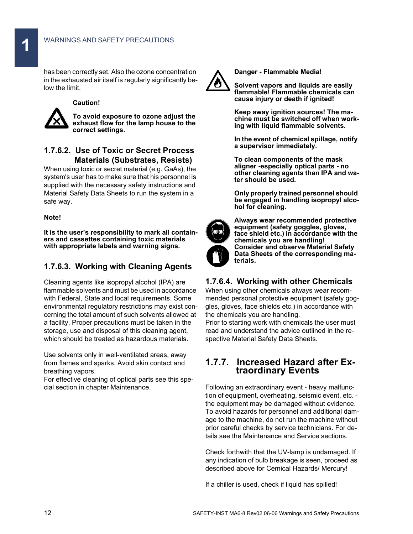has been correctly set. Also the ozone concentration in the exhausted air itself is regularly significantly below the limit.



#### **Caution!**

**To avoid exposure to ozone adjust the exhaust flow for the lamp house to the correct settings.**

#### **1.7.6.2. Use of Toxic or Secret Process Materials (Substrates, Resists)**

When using toxic or secret material (e.g. GaAs), the system's user has to make sure that his personnel is supplied with the necessary safety instructions and Material Safety Data Sheets to run the system in a safe way.

#### **Note!**

**It is the user's responsibility to mark all containers and cassettes containing toxic materials with appropriate labels and warning signs.**

#### **1.7.6.3. Working with Cleaning Agents**

Cleaning agents like isopropyl alcohol (IPA) are flammable solvents and must be used in accordance with Federal, State and local requirements. Some environmental regulatory restrictions may exist concerning the total amount of such solvents allowed at a facility. Proper precautions must be taken in the storage, use and disposal of this cleaning agent, which should be treated as hazardous materials.

Use solvents only in well-ventilated areas, away from flames and sparks. Avoid skin contact and breathing vapors.

For effective cleaning of optical parts see this special section in chapter Maintenance.



**Danger - Flammable Media!**

**Solvent vapors and liquids are easily flammable! Flammable chemicals can cause injury or death if ignited!**

**Keep away ignition sources! The machine must be switched off when working with liquid flammable solvents.**

**In the event of chemical spillage, notify a supervisor immediately.**

**To clean components of the mask aligner -especially optical parts - no other cleaning agents than IPA and water should be used.**

**Only properly trained personnel should be engaged in handling isopropyl alcohol for cleaning.**



**Always wear recommended protective equipment (safety goggles, gloves, face shield etc.) in accordance with the chemicals you are handling! Consider and observe Material Safety Data Sheets of the corresponding materials.**

#### **1.7.6.4. Working with other Chemicals**

When using other chemicals always wear recommended personal protective equipment (safety goggles, gloves, face shields etc.) in accordance with the chemicals you are handling.

Prior to starting work with chemicals the user must read and understand the advice outlined in the respective Material Safety Data Sheets.

#### **1.7.7. Increased Hazard after Extraordinary Events**

Following an extraordinary event - heavy malfunction of equipment, overheating, seismic event, etc. the equipment may be damaged without evidence. To avoid hazards for personnel and additional damage to the machine, do not run the machine without prior careful checks by service technicians. For details see the Maintenance and Service sections.

Check forthwith that the UV-lamp is undamaged. If any indication of bulb breakage is seen, proceed as described above for Cemical Hazards/ Mercury!

If a chiller is used, check if liquid has spilled!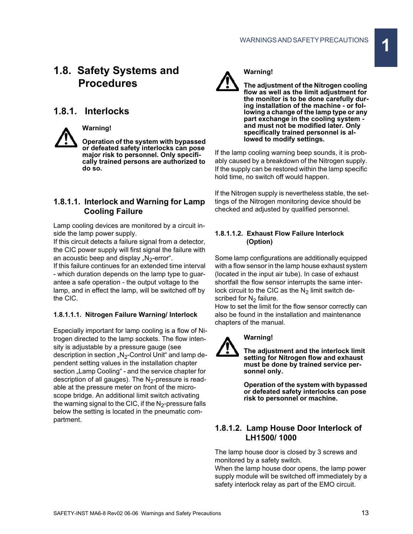## **1.8. Safety Systems and Procedures**

## **1.8.1. Interlocks**

**Warning!**

**Operation of the system with bypassed or defeated safety interlocks can pose major risk to personnel. Only specifically trained persons are authorized to do so.**

## **1.8.1.1. Interlock and Warning for Lamp Cooling Failure**

Lamp cooling devices are monitored by a circuit inside the lamp power supply.

If this circuit detects a failure signal from a detector, the CIC power supply will first signal the failure with an acoustic beep and display  $\mu$ <sub>2</sub>-error".

If this failure continues for an extended time interval - which duration depends on the lamp type to guarantee a safe operation - the output voltage to the lamp, and in effect the lamp, will be switched off by the CIC.

## **1.8.1.1.1. Nitrogen Failure Warning/ Interlock**

Especially important for lamp cooling is a flow of Nitrogen directed to the lamp sockets. The flow intensity is adjustable by a pressure gauge (see description in section " $N<sub>2</sub>$ -Control Unit" and lamp dependent setting values in the installation chapter section "Lamp Cooling" - and the service chapter for description of all gauges). The  $N<sub>2</sub>$ -pressure is readable at the pressure meter on front of the microscope bridge. An additional limit switch activating the warning signal to the CIC, if the  $N<sub>2</sub>$ -pressure falls below the setting is located in the pneumatic compartment.



#### **Warning!**

**The adjustment of the Nitrogen cooling flow as well as the limit adjustment for the monitor is to be done carefully during installation of the machine - or following a change of the lamp type or any part exchange in the cooling system and must not be modified later. Only specifically trained personnel is allowed to modify settings.**

If the lamp cooling warning beep sounds, it is probably caused by a breakdown of the Nitrogen supply. If the supply can be restored within the lamp specific hold time, no switch off would happen.

If the Nitrogen supply is nevertheless stable, the settings of the Nitrogen monitoring device should be checked and adjusted by qualified personnel.

#### **1.8.1.1.2. Exhaust Flow Failure Interlock (Option)**

Some lamp configurations are additionally equipped with a flow sensor in the lamp house exhaust system (located in the input air tube). In case of exhaust shortfall the flow sensor interrupts the same interlock circuit to the CIC as the  $N_2$  limit switch described for  $N<sub>2</sub>$  failure.

How to set the limit for the flow sensor correctly can also be found in the installation and maintenance chapters of the manual.

## **Warning!**

**The adjustment and the interlock limit setting for Nitrogen flow and exhaust must be done by trained service personnel only.**

**Operation of the system with bypassed or defeated safety interlocks can pose risk to personnel or machine.**

### **1.8.1.2. Lamp House Door Interlock of LH1500/ 1000**

The lamp house door is closed by 3 screws and monitored by a safety switch.

When the lamp house door opens, the lamp power supply module will be switched off immediately by a safety interlock relay as part of the EMO circuit.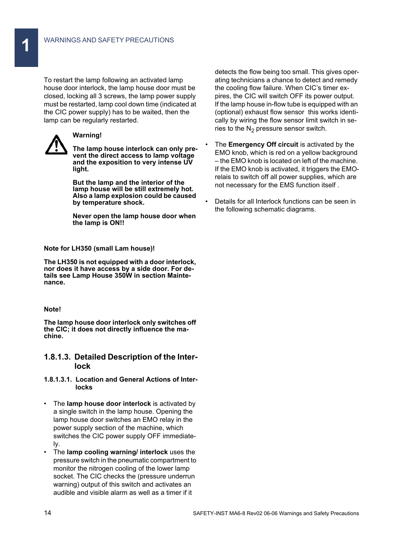To restart the lamp following an activated lamp house door interlock, the lamp house door must be closed, locking all 3 screws, the lamp power supply must be restarted, lamp cool down time (indicated at the CIC power supply) has to be waited, then the lamp can be regularly restarted.



#### **Warning!**

**The lamp house interlock can only prevent the direct access to lamp voltage and the exposition to very intense UV light.**

**But the lamp and the interior of the lamp house will be still extremely hot. Also a lamp explosion could be caused by temperature shock.**

**Never open the lamp house door when the lamp is ON!!**

**Note for LH350 (small Lam house)!**

**The LH350 is not equipped with a door interlock, nor does it have access by a side door. For details see Lamp House 350W in section Maintenance.**

#### **Note!**

**The lamp house door interlock only switches off the CIC; it does not directly influence the machine.** 

#### **1.8.1.3. Detailed Description of the Interlock**

- **1.8.1.3.1. Location and General Actions of Interlocks**
- The **lamp house door interlock** is activated by a single switch in the lamp house. Opening the lamp house door switches an EMO relay in the power supply section of the machine, which switches the CIC power supply OFF immediately.
- The **lamp cooling warning/ interlock** uses the pressure switch in the pneumatic compartment to monitor the nitrogen cooling of the lower lamp socket. The CIC checks the (pressure underrun warning) output of this switch and activates an audible and visible alarm as well as a timer if it

detects the flow being too small. This gives operating technicians a chance to detect and remedy the cooling flow failure. When CIC's timer expires, the CIC will switch OFF its power output. If the lamp house in-flow tube is equipped with an (optional) exhaust flow sensor this works identically by wiring the flow sensor limit switch in series to the  $N<sub>2</sub>$  pressure sensor switch.

- The **Emergency Off circuit** is activated by the EMO knob, which is red on a yellow background – the EMO knob is located on left of the machine. If the EMO knob is activated, it triggers the EMOrelais to switch off all power supplies, which are not necessary for the EMS function itself .
- Details for all Interlock functions can be seen in the following schematic diagrams.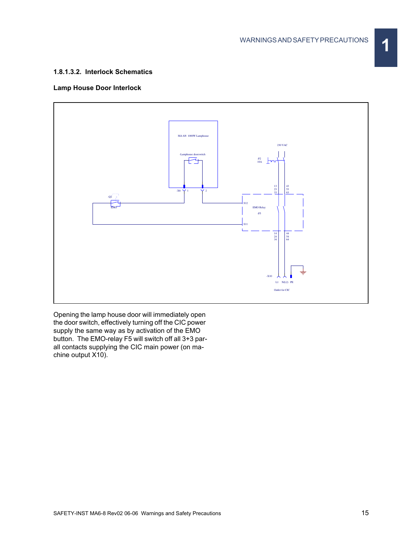#### **1.8.1.3.2. Interlock Schematics**

#### **Lamp House Door Interlock**



Opening the lamp house door will immediately open the door switch, effectively turning off the CIC power supply the same way as by activation of the EMO button. The EMO-relay F5 will switch off all 3+3 parall contacts supplying the CIC main power (on machine output X10).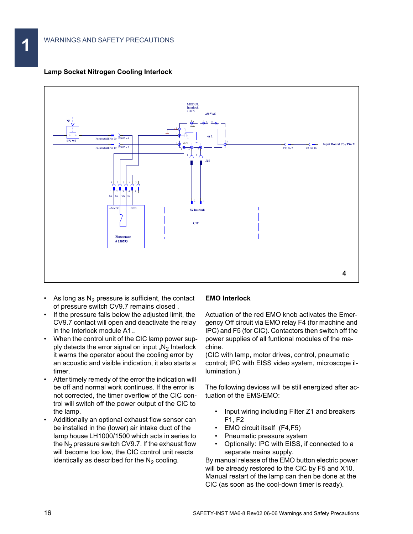#### **Lamp Socket Nitrogen Cooling Interlock**



- As long as  $N<sub>2</sub>$  pressure is sufficient, the contact of pressure switch CV9.7 remains closed .
- If the pressure falls below the adjusted limit, the CV9.7 contact will open and deactivate the relay in the Interlock module A1..
- When the control unit of the CIC lamp power supply detects the error signal on input " $N<sub>2</sub>$  Interlock it warns the operator about the cooling error by an acoustic and visible indication, it also starts a timer.
- After timely remedy of the error the indication will be off and normal work continues. If the error is not corrected, the timer overflow of the CIC control will switch off the power output of the CIC to the lamp.
- Additionally an optional exhaust flow sensor can be installed in the (lower) air intake duct of the lamp house LH1000/1500 which acts in series to the  $N<sub>2</sub>$  pressure switch CV9.7. If the exhaust flow will become too low, the CIC control unit reacts identically as described for the  $N<sub>2</sub>$  cooling.

#### **EMO Interlock**

Actuation of the red EMO knob activates the Emergency Off circuit via EMO relay F4 (for machine and IPC) and F5 (for CIC). Contactors then switch off the power supplies of all funtional modules of the machine.

(CIC with lamp, motor drives, control, pneumatic control; IPC with EISS video system, microscope illumination.)

The following devices will be still energized after actuation of the EMS/EMO:

- Input wiring including Filter Z1 and breakers F1, F2
- EMO circuit itself (F4,F5)
- Pneumatic pressure system
- Optionally: IPC with EISS, if connected to a separate mains supply.

By manual release of the EMO button electric power will be already restored to the CIC by F5 and X10. Manual restart of the lamp can then be done at the CIC (as soon as the cool-down timer is ready).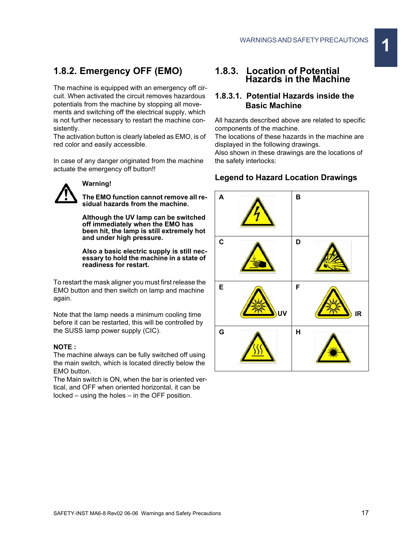## **1.8.2. Emergency OFF (EMO)**

The machine is equipped with an emergency off circuit. When activated the circuit removes hazardous potentials from the machine by stopping all movements and switching off the electrical supply, which is not further necessary to restart the machine consistently.

The activation button is clearly labeled as EMO, is of red color and easily accessible.

In case of any danger originated from the machine actuate the emergency off button!!



#### **Warning!**

**The EMO function cannot remove all residual hazards from the machine.**

**Although the UV lamp can be switched off immediately when the EMO has been hit, the lamp is still extremely hot and under high pressure.** 

**Also a basic electric supply is still necessary to hold the machine in a state of readiness for restart.**

To restart the mask aligner you must first release the EMO button and then switch on lamp and machine again.

Note that the lamp needs a minimum cooling time before it can be restarted, this will be controlled by the SUSS lamp power supply (CIC).

#### **NOTE :**

The machine always can be fully switched off using the main switch, which is located directly below the EMO button.

The Main switch is ON, when the bar is oriented vertical, and OFF when oriented horizontal, it can be locked – using the holes – in the OFF position.

## **1.8.3. Location of Potential Hazards in the Machine**

### **1.8.3.1. Potential Hazards inside the Basic Machine**

All hazards described above are related to specific components of the machine.

The locations of these hazards in the machine are displayed in the following drawings.

Also shown in these drawings are the locations of the safety interlocks:

## **Legend to Hazard Location Drawings**

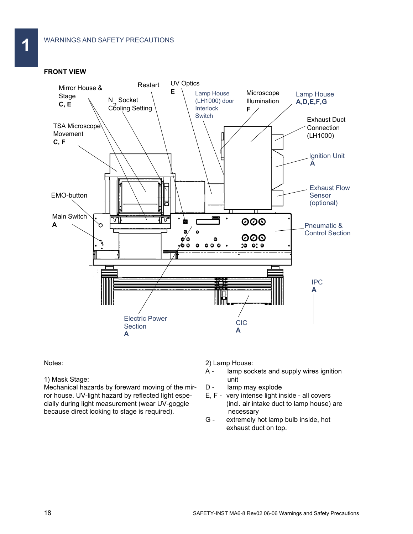#### UV Optics Restart Mirror House & **E** Lamp House Microscope Lamp House Stage N Socket (LH1000) door Illumination **A,D,E,F,G C, E** Cooling Setting Interlock **F Switch** Exhaust Duct TSA Microscope **Connection** Movement (LH1000) **C, F** Ignition Unit **A** Exhaust Flow EMO-button Sensor (optional) ┌ Main Switch চ্য 000 ν  $\infty$ Pneumatic & **A**  $\circ$ Control Section 000 Ō ′๏ Ø  $\pmb{\circ}$ ٥  $000$  $: 0 0: 0$ IPC **A** IIA

#### **FRONT VIEW**

**1**

Notes:

#### 1) Mask Stage:

Mechanical hazards by foreward moving of the mirror house. UV-light hazard by reflected light especially during light measurement (wear UV-goggle because direct looking to stage is required).

Electric Power **Section A**

2) Lamp House:

- A lamp sockets and supply wires ignition unit
- D lamp may explode

CIC **A**

- E, F very intense light inside all covers (incl. air intake duct to lamp house) are necessary
- G extremely hot lamp bulb inside, hot exhaust duct on top.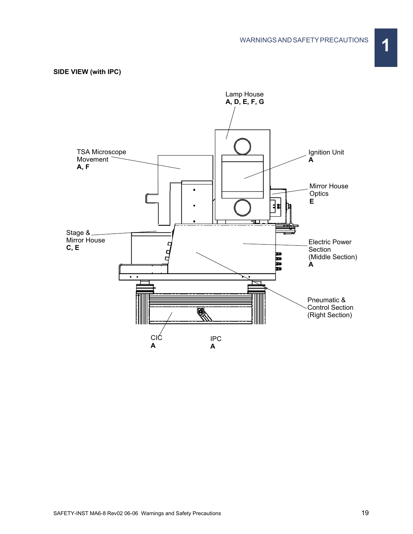#### **SIDE VIEW (with IPC)**

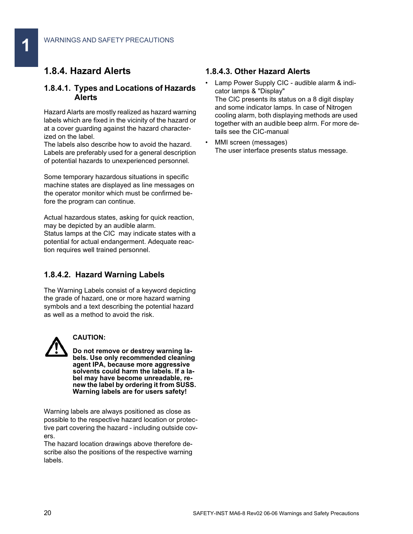## **1.8.4. Hazard Alerts**

#### **1.8.4.1. Types and Locations of Hazards Alerts**

Hazard Alarts are mostly realized as hazard warning labels which are fixed in the vicinity of the hazard or at a cover guarding against the hazard characterized on the label.

The labels also describe how to avoid the hazard. Labels are preferably used for a general description of potential hazards to unexperienced personnel.

Some temporary hazardous situations in specific machine states are displayed as line messages on the operator monitor which must be confirmed before the program can continue.

Actual hazardous states, asking for quick reaction, may be depicted by an audible alarm. Status lamps at the CIC may indicate states with a potential for actual endangerment. Adequate reaction requires well trained personnel.

## **1.8.4.2. Hazard Warning Labels**

The Warning Labels consist of a keyword depicting the grade of hazard, one or more hazard warning symbols and a text describing the potential hazard as well as a method to avoid the risk.



#### **CAUTION:**

**Do not remove or destroy warning labels. Use only recommended cleaning agent IPA, because more aggressive solvents could harm the labels. If a label may have become unreadable, renew the label by ordering it from SUSS. Warning labels are for users safety!** 

Warning labels are always positioned as close as possible to the respective hazard location or protective part covering the hazard - including outside covers.

The hazard location drawings above therefore describe also the positions of the respective warning labels.

#### **1.8.4.3. Other Hazard Alerts**

- Lamp Power Supply CIC audible alarm & indicator lamps & "Display" The CIC presents its status on a 8 digit display and some indicator lamps. In case of Nitrogen cooling alarm, both displaying methods are used together with an audible beep alrm. For more details see the CIC-manual
- MMI screen (messages) The user interface presents status message.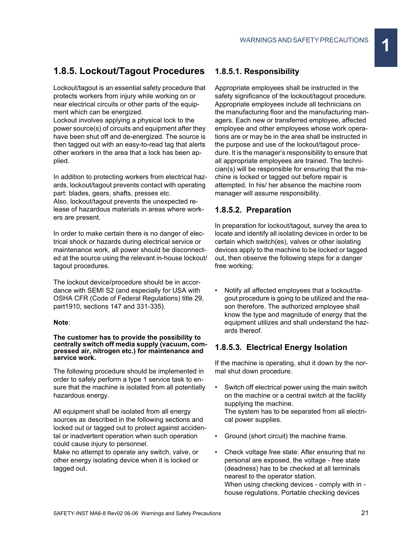## **1.8.5. Lockout/Tagout Procedures**

Lockout/tagout is an essential safety procedure that protects workers from injury while working on or near electrical circuits or other parts of the equipment which can be energized.

Lockout involves applying a physical lock to the power source(s) of circuits and equipment after they have been shut off and de-energized. The source is then tagged out with an easy-to-read tag that alerts other workers in the area that a lock has been applied.

In addition to protecting workers from electrical hazards, lockout/tagout prevents contact with operating part: blades, gears, shafts, presses etc. Also, lockout/tagout prevents the unexpected release of hazardous materials in areas where work-

ers are present.

In order to make certain there is no danger of electrical shock or hazards during electrical service or maintenance work, all power should be disconnected at the source using the relevant in-house lockout/ tagout procedures.

The lockout device/procedure should be in accordance with SEMI S2 (and especially for USA with OSHA CFR (Code of Federal Regulations) title 29, part1910, sections 147 and 331-335).

#### **Note**:

#### **The customer has to provide the possibility to centrally switch off media supply (vacuum, compressed air, nitrogen etc.) for maintenance and service work.**

The following procedure should be implemented in order to safely perform a type 1 service task to ensure that the machine is isolated from all potentially hazardous energy.

All equipment shall be isolated from all energy sources as described in the following sections and locked out or tagged out to protect against accidental or inadvertent operation when such operation could cause injury to personnel.

Make no attempt to operate any switch, valve, or other energy isolating device when it is locked or tagged out.

### **1.8.5.1. Responsibility**

Appropriate employees shall be instructed in the safety significance of the lockout/tagout procedure. Appropriate employees include all technicians on the manufacturing floor and the manufacturing managers. Each new or transferred employee, affected employee and other employees whose work operations are or may be in the area shall be instructed in the purpose and use of the lockout/tagout procedure. It is the manager's responsibility to ensure that all appropriate employees are trained. The technician(s) will be responsible for ensuring that the machine is locked or tagged out before repair is attempted. In his/ her absence the machine room manager will assume responsibility.

### **1.8.5.2. Preparation**

In preparation for lockout/tagout, survey the area to locate and identify all isolating devices in order to be certain which switch(es), valves or other isolating devices apply to the machine to be locked or tagged out, then observe the following steps for a danger free working:

• Notify all affected employees that a lockout/tagout procedure is going to be utilized and the reason therefore. The authorized employee shall know the type and magnitude of energy that the equipment utilizes and shall understand the hazards thereof.

## **1.8.5.3. Electrical Energy Isolation**

If the machine is operating, shut it down by the normal shut down procedure.

- Switch off electrical power using the main switch on the machine or a central switch at the facility supplying the machine. The system has to be separated from all electrical power supplies.
- Ground (short circuit) the machine frame.
- Check voltage free state: After ensuring that no personal are exposed, the voltage - free state (deadness) has to be checked at all terminals nearest to the operator station. When using checking devices - comply with in house regulations. Portable checking devices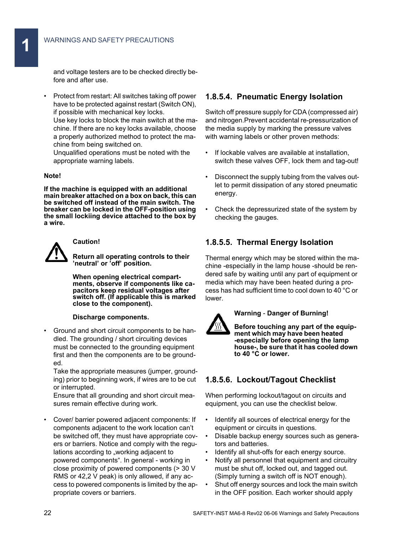and voltage testers are to be checked directly before and after use.

• Protect from restart: All switches taking off power have to be protected against restart (Switch ON), if possible with mechanical key locks.

Use key locks to block the main switch at the machine. If there are no key locks available, choose a properly authorized method to protect the machine from being switched on.

Unqualified operations must be noted with the appropriate warning labels.

#### **Note!**

**If the machine is equipped with an additional main breaker attached on a box on back, this can be switched off instead of the main switch. The breaker can be locked in the OFF-position using the small lockiing device attached to the box by a wire.**



#### **Caution!**

**Return all operating controls to their 'neutral' or 'off' position.**

**When opening electrical compartments, observe if components like capacitors keep residual voltages after switch off. (If applicable this is marked close to the component).**

#### **Discharge components.**

• Ground and short circuit components to be handled. The grounding / short circuiting devices must be connected to the grounding equipment first and then the components are to be grounded.

Take the appropriate measures (jumper, grounding) prior to beginning work, if wires are to be cut or interrupted.

Ensure that all grounding and short circuit measures remain effective during work.

• Cover/ barrier powered adjacent components: If components adjacent to the work location can't be switched off, they must have appropriate covers or barriers. Notice and comply with the regulations according to "working adjacent to powered components". In general - working in close proximity of powered components (> 30 V RMS or 42,2 V peak) is only allowed, if any access to powered components is limited by the appropriate covers or barriers.

#### **1.8.5.4. Pneumatic Energy Isolation**

Switch off pressure supply for CDA (compressed air) and nitrogen.Prevent accidental re-pressurization of the media supply by marking the pressure valves with warning labels or other proven methods:

- If lockable valves are available at installation, switch these valves OFF, lock them and tag-out!
- Disconnect the supply tubing from the valves outlet to permit dissipation of any stored pneumatic energy.
- Check the depressurized state of the system by checking the gauges.

#### **1.8.5.5. Thermal Energy Isolation**

Thermal energy which may be stored within the machine -especially in the lamp house -should be rendered safe by waiting until any part of equipment or media which may have been heated during a process has had sufficient time to cool down to 40 °C or lower.



#### **Warning** - **Danger of Burning!**

**Before touching any part of the equipment which may have been heated -especially before opening the lamp house-, be sure that it has cooled down to 40 °C or lower.**

#### **1.8.5.6. Lockout/Tagout Checklist**

When performing lockout/tagout on circuits and equipment, you can use the checklist below.

- Identify all sources of electrical energy for the equipment or circuits in questions.
- Disable backup energy sources such as generators and batteries.
- Identify all shut-offs for each energy source.
- Notify all personnel that equipment and circuitry must be shut off, locked out, and tagged out. (Simply turning a switch off is NOT enough).
- Shut off energy sources and lock the main switch in the OFF position. Each worker should apply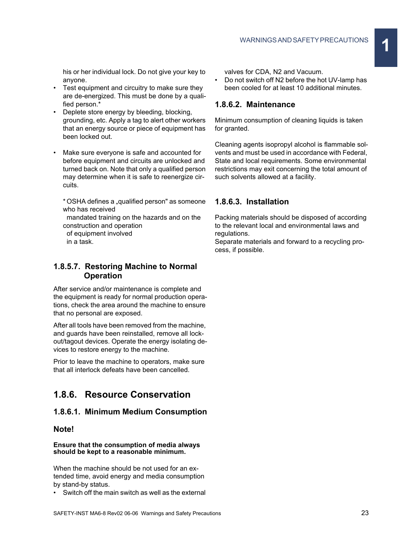his or her individual lock. Do not give your key to anyone.

- Test equipment and circuitry to make sure they are de-energized. This must be done by a qualified person.\*
- Deplete store energy by bleeding, blocking, grounding, etc. Apply a tag to alert other workers that an energy source or piece of equipment has been locked out.
- Make sure everyone is safe and accounted for before equipment and circuits are unlocked and turned back on. Note that only a qualified person may determine when it is safe to reenergize circuits.

\* OSHA defines a "qualified person" as someone who has received

mandated training on the hazards and on the construction and operation

of equipment involved in a task.

#### **1.8.5.7. Restoring Machine to Normal Operation**

After service and/or maintenance is complete and the equipment is ready for normal production operations, check the area around the machine to ensure that no personal are exposed.

After all tools have been removed from the machine, and guards have been reinstalled, remove all lockout/tagout devices. Operate the energy isolating devices to restore energy to the machine.

Prior to leave the machine to operators, make sure that all interlock defeats have been cancelled.

## **1.8.6. Resource Conservation**

### **1.8.6.1. Minimum Medium Consumption**

#### **Note!**

#### **Ensure that the consumption of media always should be kept to a reasonable minimum.**

When the machine should be not used for an extended time, avoid energy and media consumption by stand-by status.

• Switch off the main switch as well as the external

valves for CDA, N2 and Vacuum.

• Do not switch off N2 before the hot UV-lamp has been cooled for at least 10 additional minutes.

#### **1.8.6.2. Maintenance**

Minimum consumption of cleaning liquids is taken for granted.

Cleaning agents isopropyl alcohol is flammable solvents and must be used in accordance with Federal, State and local requirements. Some environmental restrictions may exit concerning the total amount of such solvents allowed at a facility.

#### **1.8.6.3. Installation**

Packing materials should be disposed of according to the relevant local and environmental laws and regulations.

Separate materials and forward to a recycling process, if possible.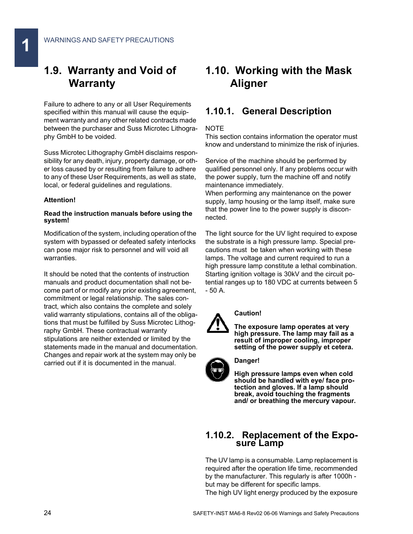## **1.9. Warranty and Void of Warranty**

Failure to adhere to any or all User Requirements specified within this manual will cause the equipment warranty and any other related contracts made between the purchaser and Suss Microtec Lithography GmbH to be voided.

Suss Microtec Lithography GmbH disclaims responsibility for any death, injury, property damage, or other loss caused by or resulting from failure to adhere to any of these User Requirements, as well as state, local, or federal guidelines and regulations.

#### **Attention!**

#### **Read the instruction manuals before using the system!**

Modification of the system, including operation of the system with bypassed or defeated safety interlocks can pose major risk to personnel and will void all warranties.

It should be noted that the contents of instruction manuals and product documentation shall not become part of or modify any prior existing agreement, commitment or legal relationship. The sales contract, which also contains the complete and solely valid warranty stipulations, contains all of the obligations that must be fulfilled by Suss Microtec Lithography GmbH. These contractual warranty stipulations are neither extended or limited by the statements made in the manual and documentation. Changes and repair work at the system may only be carried out if it is documented in the manual.

## **1.10. Working with the Mask Aligner**

## **1.10.1. General Description**

#### NOTE

This section contains information the operator must know and understand to minimize the risk of injuries.

Service of the machine should be performed by qualified personnel only. If any problems occur with the power supply, turn the machine off and notify maintenance immediately.

When performing any maintenance on the power supply, lamp housing or the lamp itself, make sure that the power line to the power supply is disconnected.

The light source for the UV light required to expose the substrate is a high pressure lamp. Special precautions must be taken when working with these lamps. The voltage and current required to run a high pressure lamp constitute a lethal combination. Starting ignition voltage is 30kV and the circuit potential ranges up to 180 VDC at currents between 5 - 50 A.



#### **Caution!**

**The exposure lamp operates at very high pressure. The lamp may fail as a result of improper cooling, improper setting of the power supply et cetera.**

#### **Danger!**

**High pressure lamps even when cold should be handled with eye/ face protection and gloves. If a lamp should break, avoid touching the fragments and/ or breathing the mercury vapour.**

# **1.10.2. Replacement of the Expo- sure Lamp**

The UV lamp is a consumable. Lamp replacement is required after the operation life time, recommended by the manufacturer. This regularly is after 1000h but may be different for specific lamps. The high UV light energy produced by the exposure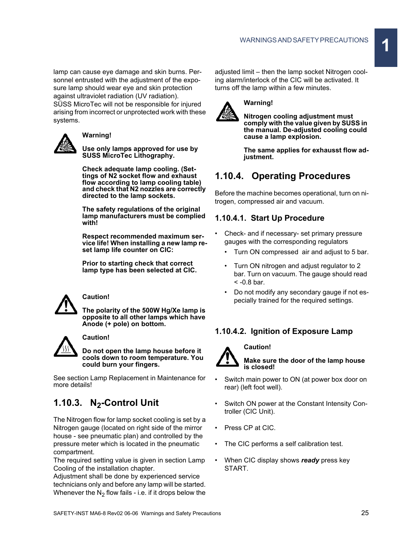lamp can cause eye damage and skin burns. Personnel entrusted with the adjustment of the exposure lamp should wear eye and skin protection against ultraviolet radiation (UV radiation). SÜSS MicroTec will not be responsible for injured arising from incorrect or unprotected work with these systems.



#### **Warning!**

**Use only lamps approved for use by SUSS MicroTec Lithography.**

**Check adequate lamp cooling. (Settings of N2 socket flow and exhaust flow according to lamp cooling table) and check that N2 nozzles are correctly directed to the lamp sockets.**

**The safety regulations of the original lamp manufacturers must be complied with!**

**Respect recommended maximum service life! When installing a new lamp reset lamp life counter on CIC:**

**Prior to starting check that correct lamp type has been selected at CIC.**



#### **Caution!**

**The polarity of the 500W Hg/Xe lamp is opposite to all other lamps which have Anode (+ pole) on bottom.**



**Caution!**

**Do not open the lamp house before it cools down to room temperature. You could burn your fingers.**

See section Lamp Replacement in Maintenance for more details!

## **1.10.3. N<sub>2</sub>-Control Unit**

The Nitrogen flow for lamp socket cooling is set by a Nitrogen gauge (located on right side of the mirror house - see pneumatic plan) and controlled by the pressure meter which is located in the pneumatic compartment.

The required setting value is given in section Lamp Cooling of the installation chapter.

Adjustment shall be done by experienced service technicians only and before any lamp will be started. Whenever the  $N<sub>2</sub>$  flow fails - i.e. if it drops below the adjusted limit – then the lamp socket Nitrogen cooling alarm/interlock of the CIC will be activated. It turns off the lamp within a few minutes.



## **Warning!**

**Nitrogen cooling adjustment must comply with the value given by SUSS in the manual. De-adjusted cooling could cause a lamp explosion.**

**The same applies for exhausst flow adjustment.**

## **1.10.4. Operating Procedures**

Before the machine becomes operational, turn on nitrogen, compressed air and vacuum.

### **1.10.4.1. Start Up Procedure**

- Check- and if necessary- set primary pressure gauges with the corresponding regulators
	- Turn ON compressed air and adjust to 5 bar.
	- Turn ON nitrogen and adjust regulator to 2 bar. Turn on vacuum. The gauge should read  $<$  -0.8 bar.
	- Do not modify any secondary gauge if not especially trained for the required settings.

## **1.10.4.2. Ignition of Exposure Lamp**



**Make sure the door of the lamp house is closed!**

- Switch main power to ON (at power box door on rear) (left foot well).
- Switch ON power at the Constant Intensity Controller (CIC Unit).
- Press CP at CIC.
- The CIC performs a self calibration test.
- When CIC display shows *ready* press key START.